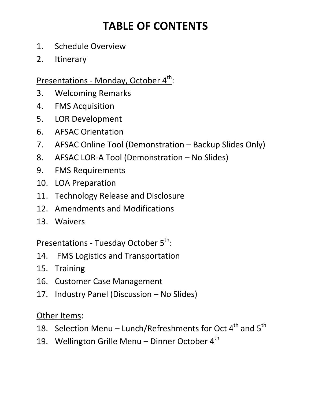## **TABLE OF CONTENTS**

- 1. Schedule Overview
- 2. Itinerary

### Presentations - Monday, October 4<sup>th</sup>:

- 3. Welcoming Remarks
- 4. FMS Acquisition
- 5. LOR Development
- 6. AFSAC Orientation
- 7. AFSAC Online Tool (Demonstration Backup Slides Only)
- 8. AFSAC LOR-A Tool (Demonstration No Slides)
- 9. FMS Requirements
- 10. LOA Preparation
- 11. Technology Release and Disclosure
- 12. Amendments and Modifications
- 13. Waivers

Presentations - Tuesday October 5<sup>th</sup>:

- 14. FMS Logistics and Transportation
- 15. Training
- 16. Customer Case Management
- 17. Industry Panel (Discussion No Slides)

Other Items:

- 18. Selection Menu Lunch/Refreshments for Oct  $4^{th}$  and  $5^{th}$
- 19. Wellington Grille Menu Dinner October  $4<sup>th</sup>$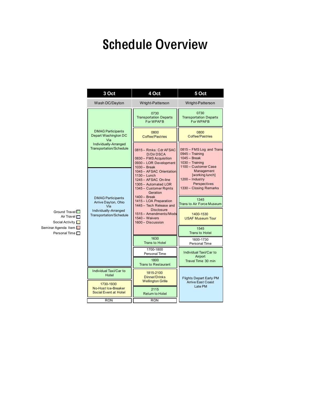# Schedule Overview

| 3 Oct                                                          | 4 Oct                                                                                                                         | 5 Oct                                                                                                    |
|----------------------------------------------------------------|-------------------------------------------------------------------------------------------------------------------------------|----------------------------------------------------------------------------------------------------------|
| Wash DC/Dayton                                                 | Wright-Patterson                                                                                                              | Wright-Patterson                                                                                         |
|                                                                | 0730<br><b>Transportation Departs</b><br>For WPAFB                                                                            | 0730<br><b>Transportation Departs</b><br>For WPAFB                                                       |
| <b>DMAG Participants</b><br>Depart Washington DC<br>Via        | 0800<br><b>Coffee/Pastries</b>                                                                                                | 0800<br><b>Coffee/Pastries</b>                                                                           |
| Individually-Arranged<br><b>Transportation/Schedule</b>        | 0815 - Rmks: Cdr AFSAC<br><b>D/Dir DSCA</b><br>0830 - FMS Acquisition<br>0930 - LOR Development<br>$1030 - Break$             | 0815 - FMS Log and Trans<br>0945 - Training<br>$1045 - Break$<br>1030 - Training<br>1100 - Customer Case |
|                                                                | 1045 - AFSAC Orientation<br>1130 - Lunch<br>1245 - AFSAC On-line<br>1305 - Automated LOR<br>1345 - Customer Rgmts<br>Geration | Management<br>[working lunch]<br>1200 - Industry<br>Perspectives<br>1330 - Closing Remarks               |
| <b>DMAG Participants</b><br>Arrive Dayton, Ohio                | 1400 - Break<br>1415 - LOA Preparation<br>1445 - Tech Release and                                                             | 1345<br>Trans to Air Force Museum                                                                        |
| Via<br>Individually-Arranged<br><b>Transportation/Schedule</b> | <b>Disclosure</b><br>1515 - Amendments/Mods<br>1540 - Waivers<br>1600 - Discussion                                            | 1400-1530<br><b>USAF Museum Tour</b>                                                                     |
|                                                                |                                                                                                                               | 1545<br><b>Trans to Hotel</b>                                                                            |
|                                                                | 1630<br><b>Trans to Hotel</b>                                                                                                 | 1600-1730<br>Personal Time                                                                               |
|                                                                | 1700-1800<br>Personal Time                                                                                                    | Individual Taxi/Car to<br>Airport                                                                        |
|                                                                | 1800<br><b>Trans to Restaurant</b>                                                                                            | Travel Time 30 min                                                                                       |
| Individual Taxi/Car to<br>Hotel<br>1730-1930                   | 1815-2100<br>Dinner/Drinks<br><b>Wellington Grille</b>                                                                        | <b>Flights Depart Early PM</b><br><b>Arrive East Coast</b>                                               |
| <b>No-Host Ice-Breaker</b><br><b>Social Event at Hotel</b>     | 2115<br><b>Return to Hotel</b>                                                                                                | Late PM                                                                                                  |
| <b>RON</b>                                                     | <b>RON</b>                                                                                                                    |                                                                                                          |

Seminar Agenda Item Social Activity  $\Box$ Air Travel  $\Box$ Ground Travel Personal Time  $\square$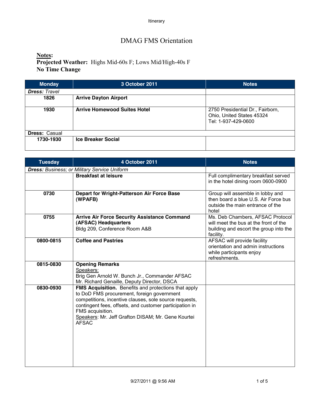### DMAG FMS Orientation

**Notes: Projected Weather:** Highs Mid-60s F; Lows Mid/High-40s F **No Time Change**

| <b>Monday</b>        | 3 October 2011                      | <b>Notes</b>                                                                         |
|----------------------|-------------------------------------|--------------------------------------------------------------------------------------|
| <b>Dress: Travel</b> |                                     |                                                                                      |
| 1826                 | <b>Arrive Dayton Airport</b>        |                                                                                      |
| 1930                 | <b>Arrive Homewood Suites Hotel</b> | 2750 Presidential Dr., Fairborn,<br>Ohio, United States 45324<br>Tel: 1-937-429-0600 |
| <b>Dress: Casual</b> |                                     |                                                                                      |
| 1730-1930            | <b>Ice Breaker Social</b>           |                                                                                      |

| <b>Tuesday</b> | 4 October 2011                                                                                                                                                                                                                                                                                                    | <b>Notes</b>                                                                                                                     |
|----------------|-------------------------------------------------------------------------------------------------------------------------------------------------------------------------------------------------------------------------------------------------------------------------------------------------------------------|----------------------------------------------------------------------------------------------------------------------------------|
|                | <b>Dress: Business; or Military Service Uniform</b>                                                                                                                                                                                                                                                               |                                                                                                                                  |
|                | <b>Breakfast at leisure</b>                                                                                                                                                                                                                                                                                       | Full complimentary breakfast served<br>in the hotel dining room 0600-0900                                                        |
| 0730           | Depart for Wright-Patterson Air Force Base<br>(WPAFB)                                                                                                                                                                                                                                                             | Group will assemble in lobby and<br>then board a blue U.S. Air Force bus<br>outside the main entrance of the<br>hotel            |
| 0755           | <b>Arrive Air Force Security Assistance Command</b><br>(AFSAC) Headquarters<br>Bldg 209, Conference Room A&B                                                                                                                                                                                                      | Ms. Deb Chambers, AFSAC Protocol<br>will meet the bus at the front of the<br>building and escort the group into the<br>facility. |
| 0800-0815      | <b>Coffee and Pastries</b>                                                                                                                                                                                                                                                                                        | AFSAC will provide facility<br>orientation and admin instructions<br>while participants enjoy<br>refreshments.                   |
| 0815-0830      | <b>Opening Remarks</b><br>Speakers:<br>Brig Gen Arnold W. Bunch Jr., Commander AFSAC<br>Mr. Richard Genaille, Deputy Director, DSCA                                                                                                                                                                               |                                                                                                                                  |
| 0830-0930      | FMS Acquisition. Benefits and protections that apply<br>to DoD FMS procurement, foreign government<br>competitions, incentive clauses, sole source requests,<br>contingent fees, offsets, and customer participation in<br>FMS acquisition.<br>Speakers: Mr. Jeff Grafton DISAM; Mr. Gene Kourtei<br><b>AFSAC</b> |                                                                                                                                  |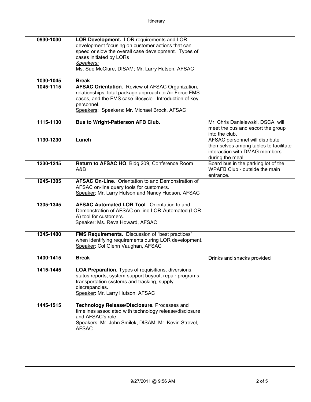| 0930-1030 | <b>LOR Development.</b> LOR requirements and LOR        |                                       |
|-----------|---------------------------------------------------------|---------------------------------------|
|           |                                                         |                                       |
|           | development focusing on customer actions that can       |                                       |
|           | speed or slow the overall case development. Types of    |                                       |
|           | cases initiated by LORs                                 |                                       |
|           | Speakers:                                               |                                       |
|           | Ms. Sue McClure, DISAM; Mr. Larry Hutson, AFSAC         |                                       |
| 1030-1045 | <b>Break</b>                                            |                                       |
| 1045-1115 | AFSAC Orientation. Review of AFSAC Organization,        |                                       |
|           | relationships, total package approach to Air Force FMS  |                                       |
|           | cases, and the FMS case lifecycle. Introduction of key  |                                       |
|           | personnel.                                              |                                       |
|           | Speakers: Speakers: Mr. Michael Brock, AFSAC            |                                       |
|           |                                                         |                                       |
| 1115-1130 | <b>Bus to Wright-Patterson AFB Club.</b>                | Mr. Chris Danielewski, DSCA, will     |
|           |                                                         | meet the bus and escort the group     |
|           |                                                         | into the club.                        |
| 1130-1230 | Lunch                                                   | AFSAC personnel will distribute       |
|           |                                                         | themselves among tables to facilitate |
|           |                                                         | interaction with DMAG members         |
|           |                                                         | during the meal.                      |
| 1230-1245 | Return to AFSAC HQ, Bldg 209, Conference Room           | Board bus in the parking lot of the   |
|           | A&B                                                     | WPAFB Club - outside the main         |
|           |                                                         | entrance.                             |
| 1245-1305 | AFSAC On-Line. Orientation to and Demonstration of      |                                       |
|           | AFSAC on-line query tools for customers.                |                                       |
|           | Speaker: Mr. Larry Hutson and Nancy Hudson, AFSAC       |                                       |
|           |                                                         |                                       |
| 1305-1345 | <b>AFSAC Automated LOR Tool. Orientation to and</b>     |                                       |
|           | Demonstration of AFSAC on-line LOR-Automated (LOR-      |                                       |
|           | A) tool for customers.                                  |                                       |
|           | Speaker: Ms. Reva Howard, AFSAC                         |                                       |
| 1345-1400 | <b>FMS Requirements.</b> Discussion of "best practices" |                                       |
|           | when identifying requirements during LOR development.   |                                       |
|           | Speaker: Col Glenn Vaughan, AFSAC                       |                                       |
|           |                                                         |                                       |
| 1400-1415 | <b>Break</b>                                            | Drinks and snacks provided            |
|           |                                                         |                                       |
| 1415-1445 | LOA Preparation. Types of requisitions, diversions,     |                                       |
|           | status reports, system support buyout, repair programs, |                                       |
|           | transportation systems and tracking, supply             |                                       |
|           | discrepancies.<br>Speaker: Mr. Larry Hutson, AFSAC      |                                       |
|           |                                                         |                                       |
| 1445-1515 | Technology Release/Disclosure. Processes and            |                                       |
|           | timelines associated with technology release/disclosure |                                       |
|           | and AFSAC's role.                                       |                                       |
|           | Speakers: Mr. John Smilek, DISAM; Mr. Kevin Strevel,    |                                       |
|           | <b>AFSAC</b>                                            |                                       |
|           |                                                         |                                       |
|           |                                                         |                                       |
|           |                                                         |                                       |
|           |                                                         |                                       |
|           |                                                         |                                       |
|           |                                                         |                                       |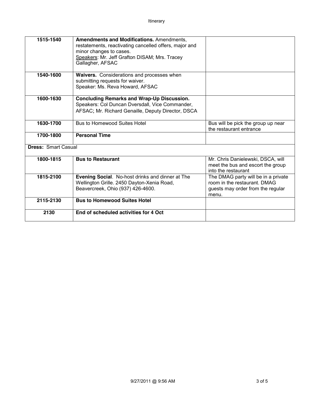| 1515-1540                  | Amendments and Modifications. Amendments,                                         |                                     |
|----------------------------|-----------------------------------------------------------------------------------|-------------------------------------|
|                            | restatements, reactivating cancelled offers, major and<br>minor changes to cases. |                                     |
|                            | Speakers: Mr. Jeff Grafton DISAM; Mrs. Tracey                                     |                                     |
|                            | Gallagher, AFSAC                                                                  |                                     |
|                            |                                                                                   |                                     |
| 1540-1600                  | Waivers. Considerations and processes when                                        |                                     |
|                            | submitting requests for waiver.                                                   |                                     |
|                            | Speaker: Ms. Reva Howard, AFSAC                                                   |                                     |
| 1600-1630                  | <b>Concluding Remarks and Wrap-Up Discussion.</b>                                 |                                     |
|                            | Speakers: Col Duncan Dversdall, Vice Commander,                                   |                                     |
|                            | AFSAC; Mr. Richard Genaille, Deputy Director, DSCA                                |                                     |
|                            |                                                                                   |                                     |
| 1630-1700                  | <b>Bus to Homewood Suites Hotel</b>                                               | Bus will be pick the group up near  |
|                            |                                                                                   | the restaurant entrance             |
| 1700-1800                  | <b>Personal Time</b>                                                              |                                     |
| <b>Dress: Smart Casual</b> |                                                                                   |                                     |
| 1800-1815                  | <b>Bus to Restaurant</b>                                                          | Mr. Chris Danielewski, DSCA, will   |
|                            |                                                                                   | meet the bus and escort the group   |
|                            |                                                                                   | into the restaurant                 |
| 1815-2100                  | Evening Social. No-host drinks and dinner at The                                  | The DMAG party will be in a private |
|                            | Wellington Grille. 2450 Dayton-Xenia Road,                                        | room in the restaurant. DMAG        |
|                            | Beavercreek, Ohio (937) 426-4600.                                                 | guests may order from the regular   |
|                            |                                                                                   | menu.                               |
| 2115-2130                  | <b>Bus to Homewood Suites Hotel</b>                                               |                                     |
| 2130                       | End of scheduled activities for 4 Oct                                             |                                     |
|                            |                                                                                   |                                     |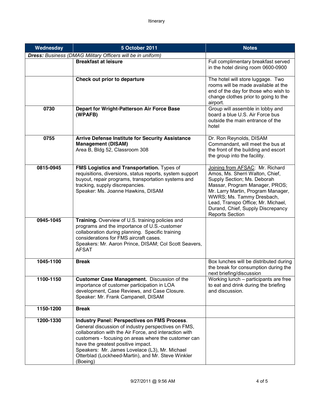| Wednesday | 5 October 2011                                                                                                                                                                                                                                                                                                                                                                         | <b>Notes</b>                                                                                                                                                                                                                                                                                                |
|-----------|----------------------------------------------------------------------------------------------------------------------------------------------------------------------------------------------------------------------------------------------------------------------------------------------------------------------------------------------------------------------------------------|-------------------------------------------------------------------------------------------------------------------------------------------------------------------------------------------------------------------------------------------------------------------------------------------------------------|
|           | Dress: Business (DMAG Military Officers will be in uniform)                                                                                                                                                                                                                                                                                                                            |                                                                                                                                                                                                                                                                                                             |
|           | <b>Breakfast at leisure</b>                                                                                                                                                                                                                                                                                                                                                            | Full complimentary breakfast served<br>in the hotel dining room 0600-0900                                                                                                                                                                                                                                   |
|           | Check out prior to departure                                                                                                                                                                                                                                                                                                                                                           | The hotel will store luggage. Two<br>rooms will be made available at the<br>end of the day for those who wish to<br>change clothes prior to going to the<br>airport.                                                                                                                                        |
| 0730      | Depart for Wright-Patterson Air Force Base<br>(WPAFB)                                                                                                                                                                                                                                                                                                                                  | Group will assemble in lobby and<br>board a blue U.S. Air Force bus<br>outside the main entrance of the<br>hotel                                                                                                                                                                                            |
| 0755      | <b>Arrive Defense Institute for Security Assistance</b><br><b>Management (DISAM)</b><br>Area B, Bldg 52, Classroom 308                                                                                                                                                                                                                                                                 | Dr. Ron Reynolds, DISAM<br>Commandant, will meet the bus at<br>the front of the building and escort<br>the group into the facility.                                                                                                                                                                         |
| 0815-0945 | FMS Logistics and Transportation. Types of<br>requisitions, diversions, status reports, system support<br>buyout, repair programs, transportation systems and<br>tracking, supply discrepancies.<br>Speaker: Ms. Joanne Hawkins, DISAM                                                                                                                                                 | Joining from AFSAC: Mr. Richard<br>Amos, Ms. Sherri Walton, Chief,<br>Supply Section; Ms. Deborah<br>Massar, Program Manager, PROS;<br>Mr. Larry Martin, Program Manager,<br>WWRS; Ms. Tammy Dresbach,<br>Lead, Transpo Office; Mr. Michael,<br>Durand, Chief, Supply Discrepancy<br><b>Reports Section</b> |
| 0945-1045 | Training. Overview of U.S. training policies and<br>programs and the importance of U.S.-customer<br>collaboration during planning. Specific training<br>considerations for FMS aircraft cases.<br>Speakers: Mr. Aaron Prince, DISAM; Col Scott Seavers,<br><b>AFSAT</b>                                                                                                                |                                                                                                                                                                                                                                                                                                             |
| 1045-1100 | <b>Break</b>                                                                                                                                                                                                                                                                                                                                                                           | Box lunches will be distributed during<br>the break for consumption during the<br>next briefing/discussion                                                                                                                                                                                                  |
| 1100-1150 | Customer Case Management. Discussion of the<br>importance of customer participation in LOA<br>development, Case Reviews, and Case Closure.<br>Speaker: Mr. Frank Campanell, DISAM                                                                                                                                                                                                      | Working lunch - participants are free<br>to eat and drink during the briefing<br>and discussion.                                                                                                                                                                                                            |
| 1150-1200 | <b>Break</b>                                                                                                                                                                                                                                                                                                                                                                           |                                                                                                                                                                                                                                                                                                             |
| 1200-1330 | <b>Industry Panel: Perspectives on FMS Process.</b><br>General discussion of industry perspectives on FMS,<br>collaboration with the Air Force, and interaction with<br>customers - focusing on areas where the customer can<br>have the greatest positive impact.<br>Speakers: Mr. James Lovelace (L3), Mr. Michael<br>Otterblad (Lockheed-Martin), and Mr. Steve Winkler<br>(Boeing) |                                                                                                                                                                                                                                                                                                             |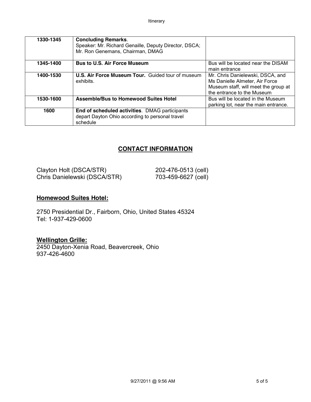| 1330-1345 | <b>Concluding Remarks.</b><br>Speaker: Mr. Richard Genaille, Deputy Director, DSCA;<br>Mr. Ron Genemans, Chairman, DMAG |                                                                                                                                          |
|-----------|-------------------------------------------------------------------------------------------------------------------------|------------------------------------------------------------------------------------------------------------------------------------------|
| 1345-1400 | <b>Bus to U.S. Air Force Museum</b>                                                                                     | Bus will be located near the DISAM<br>main entrance                                                                                      |
| 1400-1530 | <b>U.S. Air Force Museum Tour.</b> Guided tour of museum<br>exhibits.                                                   | Mr. Chris Danielewski, DSCA, and<br>Ms Danielle Almeter, Air Force<br>Museum staff, will meet the group at<br>the entrance to the Museum |
| 1530-1600 | <b>Assemble/Bus to Homewood Suites Hotel</b>                                                                            | Bus will be located in the Museum<br>parking lot, near the main entrance.                                                                |
| 1600      | End of scheduled activities. DMAG participants<br>depart Dayton Ohio according to personal travel<br>schedule           |                                                                                                                                          |

#### **CONTACT INFORMATION**

| Clayton Holt (DSCA/STR)      | 202-476-0513 (cell) |
|------------------------------|---------------------|
| Chris Danielewski (DSCA/STR) | 703-459-6627 (cell) |

#### **Homewood Suites Hotel:**

2750 Presidential Dr., Fairborn, Ohio, United States 45324 Tel: 1-937-429-0600

#### **Wellington Grille:**

2450 Dayton-Xenia Road, Beavercreek, Ohio 937-426-4600